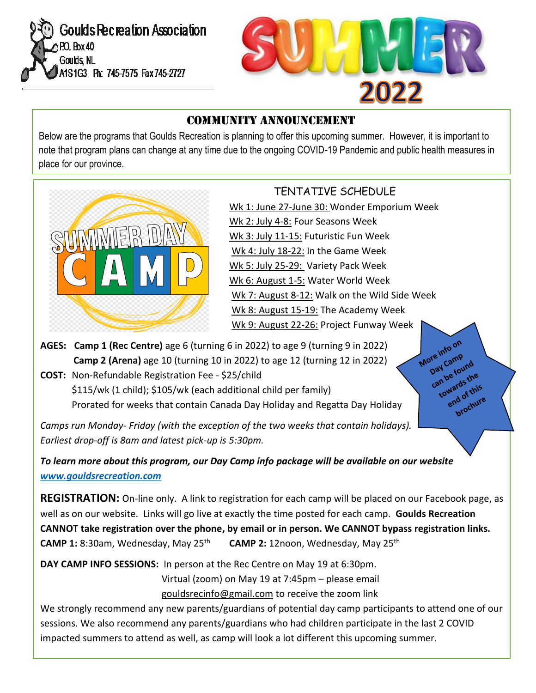



#### Community Announcement

Below are the programs that Goulds Recreation is planning to offer this upcoming summer. However, it is important to note that program plans can change at any time due to the ongoing COVID-19 Pandemic and public health measures in place for our province.



### TENTATIVE SCHEDULE

 Wk 1: June 27-June 30: Wonder Emporium Week Wk 2: July 4-8: Four Seasons Week Wk 3: July 11-15: Futuristic Fun Week Wk 4: July 18-22: In the Game Week Wk 5: July 25-29: Variety Pack Week Wk 6: August 1-5: Water World Week Wk 7: August 8-12: Walk on the Wild Side Week Wk 8: August 15-19: The Academy Week Wk 9: August 22-26: Project Funway Week

> More info on ore info<br>Day Camp ore the camp<br>Day Campe found<br>can be found ay be found<br>an be found the wards this brochure

**AGES: Camp 1 (Rec Centre)** age 6 (turning 6 in 2022) to age 9 (turning 9 in 2022) **Camp 2 (Arena)** age 10 (turning 10 in 2022) to age 12 (turning 12 in 2022)

**COST:** Non-Refundable Registration Fee - \$25/child \$115/wk (1 child); \$105/wk (each additional child per family) Prorated for weeks that contain Canada Day Holiday and Regatta Day Holiday

*Camps run Monday- Friday (with the exception of the two weeks that contain holidays). Earliest drop-off is 8am and latest pick-up is 5:30pm.* 

*To learn more about this program, our Day Camp info package will be available on our website [www.gouldsrecreation.com](http://www.gouldsrecreation.com/)*

**REGISTRATION:** On-line only. A link to registration for each camp will be placed on our Facebook page, as well as on our website.Links will go live at exactly the time posted for each camp. **Goulds Recreation CANNOT take registration over the phone, by email or in person. We CANNOT bypass registration links. CAMP 1:** 8:30am, Wednesday, May 25<sup>th</sup> **CAMP 2:** 12noon, Wednesday, May 25<sup>th</sup>

**DAY CAMP INFO SESSIONS:** In person at the Rec Centre on May 19 at 6:30pm.

Virtual (zoom) on May 19 at 7:45pm – please email [gouldsrecinfo@gmail.com](mailto:gouldsrecinfo@gmail.com) to receive the zoom link

We strongly recommend any new parents/guardians of potential day camp participants to attend one of our sessions. We also recommend any parents/guardians who had children participate in the last 2 COVID impacted summers to attend as well, as camp will look a lot different this upcoming summer.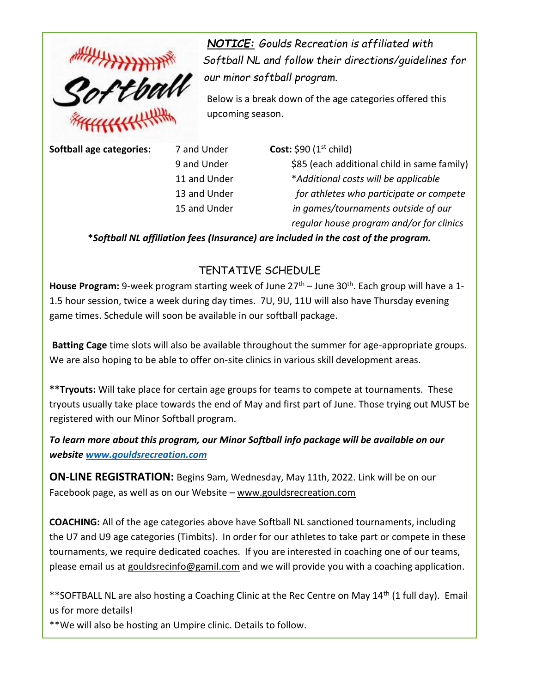

*NOTICE: Goulds Recreation is affiliated with our minor softball program.*

Below is a break down of the age categories offered this upcoming season.

**Softball age categories:** 7 and Under **Cost:** \$90 (1<sup>st</sup> child)

9 and Under \$85 (each additional child in same family) 11 and Under \**Additional costs will be applicable* 13 and Under *for athletes who participate or compete* 15 and Under *in games/tournaments outside of our regular house program and/or for clinics*

**\****Softball NL affiliation fees (Insurance) are included in the cost of the program.*

#### TENTATIVE SCHEDULE

House Program: 9-week program starting week of June 27<sup>th</sup> – June 30<sup>th</sup>. Each group will have a 1-1.5 hour session, twice a week during day times. 7U, 9U, 11U will also have Thursday evening game times. Schedule will soon be available in our softball package.

**Batting Cage** time slots will also be available throughout the summer for age-appropriate groups. We are also hoping to be able to offer on-site clinics in various skill development areas.

**\*\*Tryouts:** Will take place for certain age groups for teams to compete at tournaments. These tryouts usually take place towards the end of May and first part of June. Those trying out MUST be registered with our Minor Softball program.

*To learn more about this program, our Minor Softball info package will be available on our website [www.gouldsrecreation.com](http://www.gouldsrecreation.com/)*

**ON-LINE REGISTRATION:** Begins 9am, Wednesday, May 11th, 2022. Link will be on our Facebook page, as well as on our Website – [www.gouldsrecreation.com](http://www.gouldsrecreation.com/)

**COACHING:** All of the age categories above have Softball NL sanctioned tournaments, including the U7 and U9 age categories (Timbits). In order for our athletes to take part or compete in these tournaments, we require dedicated coaches. If you are interested in coaching one of our teams, please email us at [gouldsrecinfo@gamil.com](mailto:gouldsrecinfo@gamil.com) and we will provide you with a coaching application.

\*\*SOFTBALL NL are also hosting a Coaching Clinic at the Rec Centre on May 14<sup>th</sup> (1 full day). Email us for more details!

\*\*We will also be hosting an Umpire clinic. Details to follow.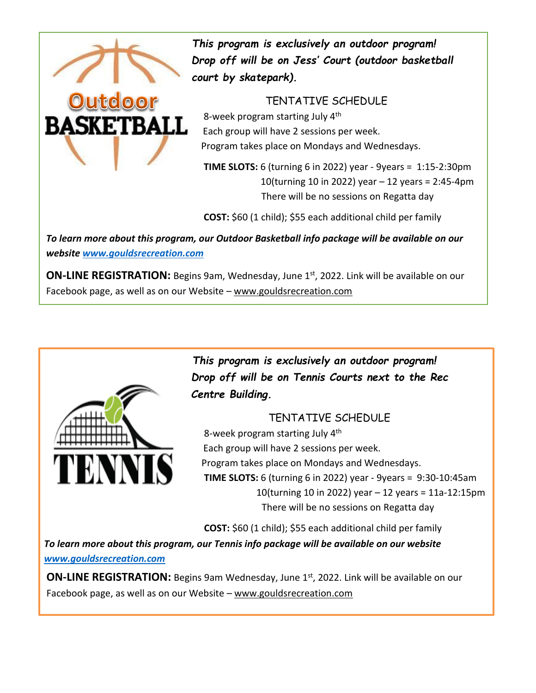

Outdoo

 *This program is exclusively an outdoor program! Drop off will be on Jess' Court (outdoor basketball court by skatepark).* 

#### TENTATIVE SCHEDULE

8-week program starting July  $4<sup>th</sup>$ **BASKETBALL Each group will have 2 sessions per week.** Program takes place on Mondays and Wednesdays.

> **TIME SLOTS:** 6 (turning 6 in 2022) year - 9years = 1:15-2:30pm 10(turning 10 in 2022) year – 12 years = 2:45-4pm There will be no sessions on Regatta day

**COST:** \$60 (1 child); \$55 each additional child per family

*To learn more about this program, our Outdoor Basketball info package will be available on our website [www.gouldsrecreation.com](http://www.gouldsrecreation.com/)*

**ON-LINE REGISTRATION:** Begins 9am, Wednesday, June 1st, 2022. Link will be available on our Facebook page, as well as on our Website – [www.gouldsrecreation.com](http://www.gouldsrecreation.com/)



 *This program is exclusively an outdoor program! Drop off will be on Tennis Courts next to the Rec Centre Building.*

#### TENTATIVE SCHEDULE

8-week program starting July 4<sup>th</sup> Each group will have 2 sessions per week. Program takes place on Mondays and Wednesdays. **TIME SLOTS:** 6 (turning 6 in 2022) year - 9years = 9:30-10:45am 10(turning 10 in 2022) year – 12 years = 11a-12:15pm There will be no sessions on Regatta day

**COST:** \$60 (1 child); \$55 each additional child per family

*To learn more about this program, our Tennis info package will be available on our website [www.gouldsrecreation.com](http://www.gouldsrecreation.com/)*

**ON-LINE REGISTRATION:** Begins 9am Wednesday, June 1st, 2022. Link will be available on our Facebook page, as well as on our Website – [www.gouldsrecreation.com](http://www.gouldsrecreation.com/)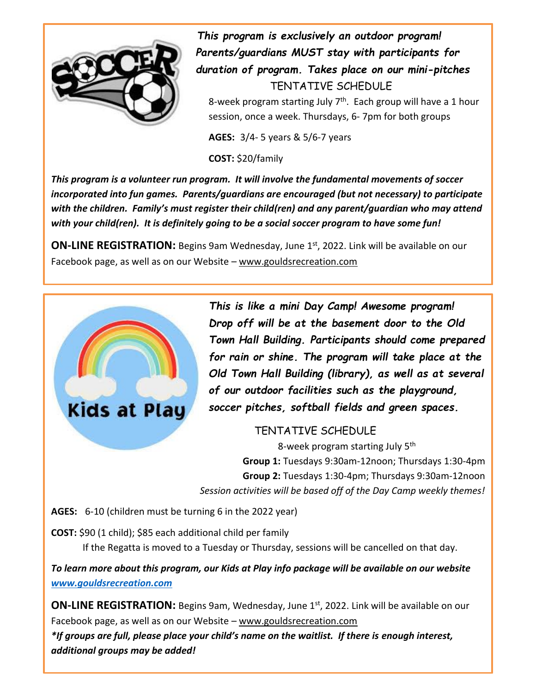

 *This program is exclusively an outdoor program! Parents/guardians MUST stay with participants for duration of program. Takes place on our mini-pitches* TENTATIVE SCHEDULE 8-week program starting July 7<sup>th</sup>. Each group will have a 1 hour

session, once a week. Thursdays, 6- 7pm for both groups

**AGES:** 3/4- 5 years & 5/6-7 years

**COST:** \$20/family

*This program is a volunteer run program. It will involve the fundamental movements of soccer incorporated into fun games. Parents/guardians are encouraged (but not necessary) to participate with the children. Family's must register their child(ren) and any parent/guardian who may attend with your child(ren). It is definitely going to be a social soccer program to have some fun!* 

**ON-LINE REGISTRATION:** Begins 9am Wednesday, June 1st, 2022. Link will be available on our Facebook page, as well as on our Website - [www.gouldsrecreation.com](http://www.gouldsrecreation.com/)



*This is like a mini Day Camp! Awesome program! Drop off will be at the basement door to the Old Town Hall Building. Participants should come prepared for rain or shine. The program will take place at the Old Town Hall Building (library), as well as at several of our outdoor facilities such as the playground, soccer pitches, softball fields and green spaces.*

TENTATIVE SCHEDULE

8-week program starting July 5<sup>th</sup> **Group 1:** Tuesdays 9:30am-12noon; Thursdays 1:30-4pm **Group 2:** Tuesdays 1:30-4pm; Thursdays 9:30am-12noon *Session activities will be based off of the Day Camp weekly themes!*

**AGES:** 6-10 (children must be turning 6 in the 2022 year)

**COST:** \$90 (1 child); \$85 each additional child per family

If the Regatta is moved to a Tuesday or Thursday, sessions will be cancelled on that day.

*To learn more about this program, our Kids at Play info package will be available on our website [www.gouldsrecreation.com](http://www.gouldsrecreation.com/)*

**ON-LINE REGISTRATION:** Begins 9am, Wednesday, June 1st, 2022. Link will be available on our Facebook page, as well as on our Website – [www.gouldsrecreation.com](http://www.gouldsrecreation.com/)

*\*If groups are full, please place your child's name on the waitlist. If there is enough interest, additional groups may be added!*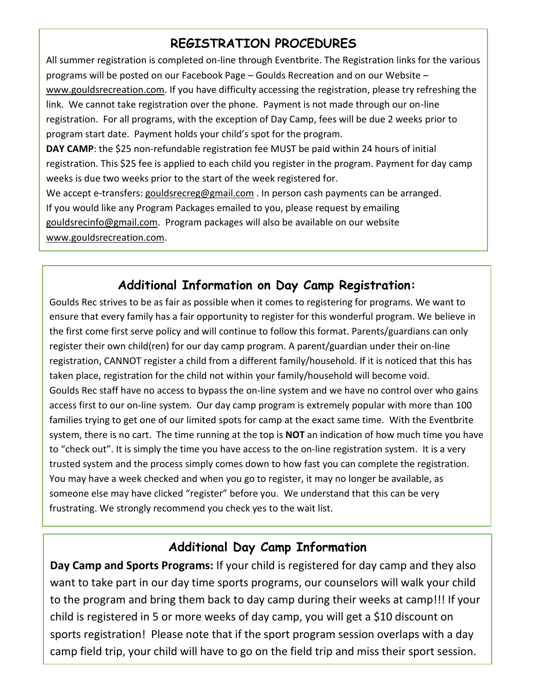## **REGISTRATION PROCEDURES**

All summer registration is completed on-line through Eventbrite. The Registration links for the various programs will be posted on our Facebook Page – Goulds Recreation and on our Website – [www.gouldsrecreation.com.](http://www.gouldsrecreation.com/) If you have difficulty accessing the registration, please try refreshing the link. We cannot take registration over the phone. Payment is not made through our on-line registration. For all programs, with the exception of Day Camp, fees will be due 2 weeks prior to program start date. Payment holds your child's spot for the program. **DAY CAMP**: the \$25 non-refundable registration fee MUST be paid within 24 hours of initial registration. This \$25 fee is applied to each child you register in the program. Payment for day camp weeks is due two weeks prior to the start of the week registered for.

We accept e-transfers: [gouldsrecreg@gmail.com](mailto:gouldsrecreg@gmail.com) . In person cash payments can be arranged. If you would like any Program Packages emailed to you, please request by emailing [gouldsrecinfo@gmail.com.](mailto:gouldsrecinfo@gmail.com) Program packages will also be available on our website [www.gouldsrecreation.com.](http://www.gouldsrecreation.com/)

## **Additional Information on Day Camp Registration:**

Goulds Rec strives to be as fair as possible when it comes to registering for programs. We want to ensure that every family has a fair opportunity to register for this wonderful program. We believe in the first come first serve policy and will continue to follow this format. Parents/guardians can only register their own child(ren) for our day camp program. A parent/guardian under their on-line registration, CANNOT register a child from a different family/household. If it is noticed that this has taken place, registration for the child not within your family/household will become void. Goulds Rec staff have no access to bypass the on-line system and we have no control over who gains access first to our on-line system. Our day camp program is extremely popular with more than 100 families trying to get one of our limited spots for camp at the exact same time. With the Eventbrite system, there is no cart. The time running at the top is **NOT** an indication of how much time you have to "check out". It is simply the time you have access to the on-line registration system. It is a very trusted system and the process simply comes down to how fast you can complete the registration. You may have a week checked and when you go to register, it may no longer be available, as someone else may have clicked "register" before you. We understand that this can be very frustrating. We strongly recommend you check yes to the wait list.

### **Additional Day Camp Information**

**Day Camp and Sports Programs:** If your child is registered for day camp and they also want to take part in our day time sports programs, our counselors will walk your child to the program and bring them back to day camp during their weeks at camp!!! If your child is registered in 5 or more weeks of day camp, you will get a \$10 discount on sports registration! Please note that if the sport program session overlaps with a day camp field trip, your child will have to go on the field trip and miss their sport session.